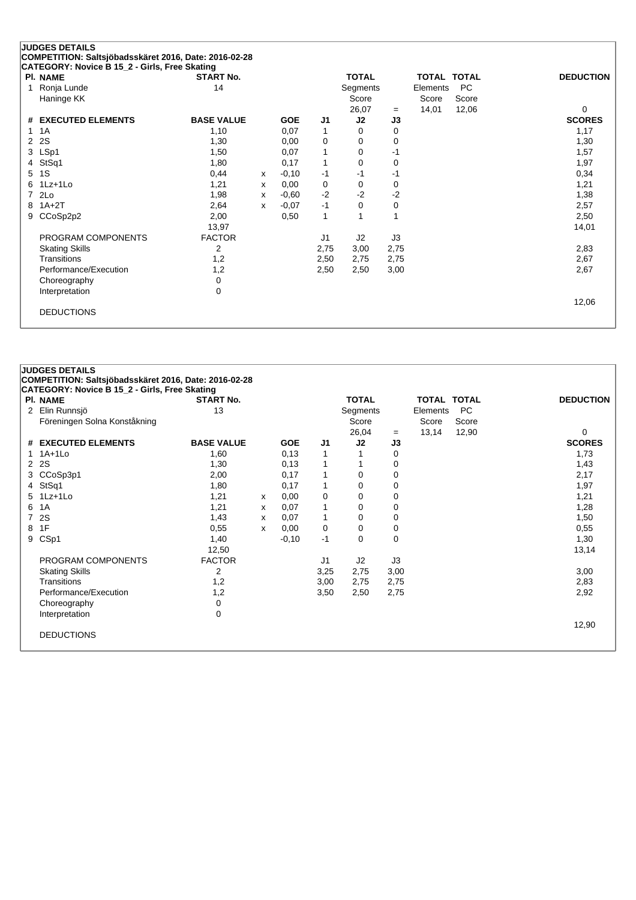| <b>PI. NAME</b>       | <b>START No.</b>  |              |            |      | <b>TOTAL</b> |      |          | <b>TOTAL TOTAL</b> | <b>DEDUCTION</b> |
|-----------------------|-------------------|--------------|------------|------|--------------|------|----------|--------------------|------------------|
| Ronja Lunde<br>1      | 14                |              |            |      | Segments     |      | Elements | <b>PC</b>          |                  |
| Haninge KK            |                   |              |            |      | Score        |      | Score    | Score              |                  |
|                       |                   |              |            |      | 26,07        | $=$  | 14,01    | 12,06              | $\Omega$         |
| # EXECUTED ELEMENTS   | <b>BASE VALUE</b> |              | <b>GOE</b> | J1   | J2           | J3   |          |                    | <b>SCORES</b>    |
| 1A                    | 1,10              |              | 0,07       | 1    | 0            | 0    |          |                    | 1,17             |
| 2S<br>2               | 1,30              |              | 0,00       | 0    | 0            | 0    |          |                    | 1,30             |
| LSp1<br>3             | 1,50              |              | 0,07       | 1    | 0            | $-1$ |          |                    | 1,57             |
| StSq1<br>4            | 1,80              |              | 0,17       | 1    | 0            | 0    |          |                    | 1,97             |
| 1S<br>5               | 0,44              | $\mathsf{x}$ | $-0,10$    | $-1$ | $-1$         | -1   |          |                    | 0,34             |
| $1Lz+1L0$<br>6        | 1,21              | x            | 0,00       | 0    | 0            | 0    |          |                    | 1,21             |
| 2Lo<br>$\overline{7}$ | 1,98              | $\mathsf{x}$ | $-0.60$    | $-2$ | $-2$         | $-2$ |          |                    | 1,38             |
| $1A+2T$<br>8          | 2,64              | $\mathsf{x}$ | $-0.07$    | $-1$ | $\Omega$     | 0    |          |                    | 2,57             |
| CCoSp2p2<br>9         | 2,00              |              | 0,50       | 1    |              | 1    |          |                    | 2,50             |
|                       | 13,97             |              |            |      |              |      |          |                    | 14,01            |
| PROGRAM COMPONENTS    | <b>FACTOR</b>     |              |            | J1   | J2           | J3   |          |                    |                  |
| <b>Skating Skills</b> | 2                 |              |            | 2,75 | 3,00         | 2,75 |          |                    | 2,83             |
| Transitions           | 1,2               |              |            | 2,50 | 2,75         | 2,75 |          |                    | 2,67             |
| Performance/Execution | 1,2               |              |            | 2,50 | 2,50         | 3,00 |          |                    | 2,67             |
| Choreography          | 0                 |              |            |      |              |      |          |                    |                  |
| Interpretation        | 0                 |              |            |      |              |      |          |                    |                  |
|                       |                   |              |            |      |              |      |          |                    | 12,06            |

|                      | <b>JUDGES DETAILS</b><br>COMPETITION: Saltsjöbadsskäret 2016, Date: 2016-02-28<br>CATEGORY: Novice B 15_2 - Girls, Free Skating |                   |   |            |                |              |      |                    |           |                  |
|----------------------|---------------------------------------------------------------------------------------------------------------------------------|-------------------|---|------------|----------------|--------------|------|--------------------|-----------|------------------|
|                      |                                                                                                                                 |                   |   |            |                |              |      |                    |           |                  |
|                      | <b>PI. NAME</b>                                                                                                                 | <b>START No.</b>  |   |            |                | <b>TOTAL</b> |      | <b>TOTAL TOTAL</b> |           | <b>DEDUCTION</b> |
| $\mathbf{2}^{\circ}$ | Elin Runnsjö                                                                                                                    | 13                |   |            |                | Segments     |      | Elements           | <b>PC</b> |                  |
|                      | Föreningen Solna Konståkning                                                                                                    |                   |   |            |                | Score        |      | Score              | Score     |                  |
|                      |                                                                                                                                 |                   |   |            |                | 26,04        | $=$  | 13,14              | 12,90     | 0                |
|                      | # EXECUTED ELEMENTS                                                                                                             | <b>BASE VALUE</b> |   | <b>GOE</b> | J <sub>1</sub> | J2           | J3   |                    |           | <b>SCORES</b>    |
|                      | $1.1A+1L0$                                                                                                                      | 1,60              |   | 0,13       | 1              |              | 0    |                    |           | 1,73             |
|                      | 2 2 S                                                                                                                           | 1,30              |   | 0,13       | 1              |              | 0    |                    |           | 1,43             |
|                      | 3 CCoSp3p1                                                                                                                      | 2,00              |   | 0,17       | 1              | $\Omega$     | 0    |                    |           | 2,17             |
|                      | 4 StSq1                                                                                                                         | 1,80              |   | 0,17       | 1              | 0            | 0    |                    |           | 1,97             |
|                      | 5 1Lz+1Lo                                                                                                                       | 1,21              | x | 0,00       | 0              | 0            | 0    |                    |           | 1,21             |
| 6                    | 1A                                                                                                                              | 1,21              | X | 0,07       | 1              | 0            | 0    |                    |           | 1,28             |
| $\overline{7}$       | 2S                                                                                                                              | 1,43              | х | 0,07       | $\mathbf{1}$   | 0            | 0    |                    |           | 1,50             |
| 8                    | 1F                                                                                                                              | 0,55              | X | 0,00       | 0              | 0            | 0    |                    |           | 0,55             |
| 9                    | CSp1                                                                                                                            | 1,40              |   | $-0,10$    | $-1$           | 0            | 0    |                    |           | 1,30             |
|                      |                                                                                                                                 | 12,50             |   |            |                |              |      |                    |           | 13,14            |
|                      | PROGRAM COMPONENTS                                                                                                              | <b>FACTOR</b>     |   |            | J1             | J2           | J3   |                    |           |                  |
|                      | <b>Skating Skills</b>                                                                                                           | 2                 |   |            | 3,25           | 2,75         | 3,00 |                    |           | 3,00             |
|                      | Transitions                                                                                                                     | 1,2               |   |            | 3,00           | 2,75         | 2,75 |                    |           | 2,83             |
|                      | Performance/Execution                                                                                                           | 1,2               |   |            | 3,50           | 2,50         | 2,75 |                    |           | 2,92             |
|                      | Choreography                                                                                                                    | 0                 |   |            |                |              |      |                    |           |                  |
|                      | Interpretation                                                                                                                  | 0                 |   |            |                |              |      |                    |           |                  |
|                      |                                                                                                                                 |                   |   |            |                |              |      |                    |           | 12,90            |
|                      | <b>DEDUCTIONS</b>                                                                                                               |                   |   |            |                |              |      |                    |           |                  |
|                      |                                                                                                                                 |                   |   |            |                |              |      |                    |           |                  |
|                      |                                                                                                                                 |                   |   |            |                |              |      |                    |           |                  |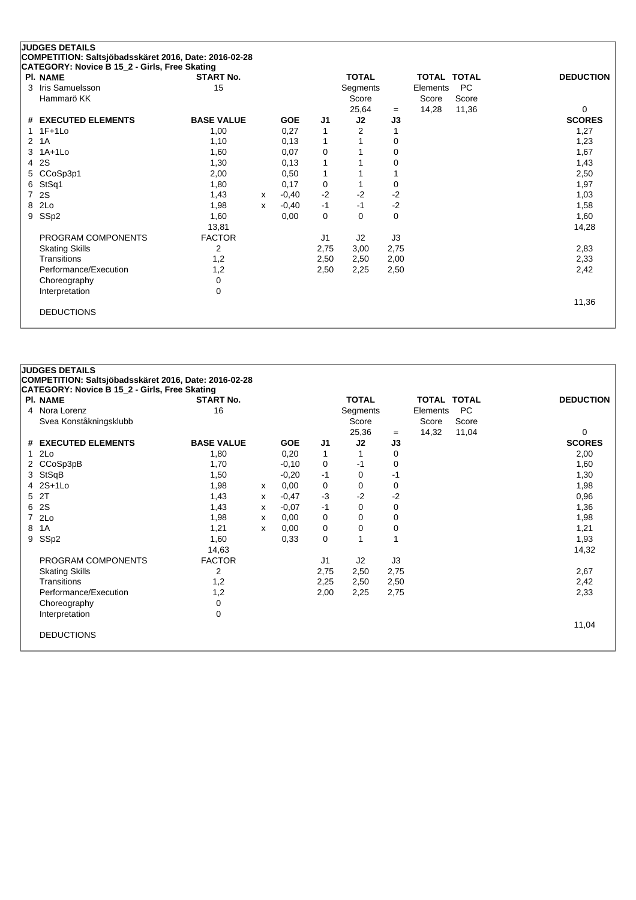|   | <b>JUDGES DETAILS</b>                                 |                   |   |            |                |              |      |                    |       |                  |
|---|-------------------------------------------------------|-------------------|---|------------|----------------|--------------|------|--------------------|-------|------------------|
|   | COMPETITION: Saltsjöbadsskäret 2016, Date: 2016-02-28 |                   |   |            |                |              |      |                    |       |                  |
|   | CATEGORY: Novice B 15_2 - Girls, Free Skating         |                   |   |            |                |              |      |                    |       |                  |
|   | <b>PI. NAME</b>                                       | <b>START No.</b>  |   |            |                | <b>TOTAL</b> |      | <b>TOTAL TOTAL</b> |       | <b>DEDUCTION</b> |
| 3 | Iris Samuelsson                                       | 15                |   |            |                | Segments     |      | Elements           | PC    |                  |
|   | Hammarö KK                                            |                   |   |            |                | Score        |      | Score              | Score |                  |
|   |                                                       |                   |   |            |                | 25,64        | $=$  | 14,28              | 11,36 | 0                |
|   | # EXECUTED ELEMENTS                                   | <b>BASE VALUE</b> |   | <b>GOE</b> | J1             | J2           | J3   |                    |       | <b>SCORES</b>    |
|   | $1.1F+1Lo$                                            | 1,00              |   | 0,27       | 1              | 2            |      |                    |       | 1,27             |
| 2 | 1A                                                    | 1,10              |   | 0,13       | $\mathbf{1}$   | 1            | 0    |                    |       | 1,23             |
|   | 3 1A+1Lo                                              | 1,60              |   | 0,07       | $\mathbf 0$    |              | 0    |                    |       | 1,67             |
| 4 | 2S                                                    | 1,30              |   | 0,13       | 1              |              | 0    |                    |       | 1,43             |
| 5 | CCoSp3p1                                              | 2,00              |   | 0,50       | $\mathbf{1}$   |              |      |                    |       | 2,50             |
| 6 | StSq1                                                 | 1,80              |   | 0,17       | 0              | 1            | 0    |                    |       | 1,97             |
| 7 | 2S                                                    | 1,43              | x | $-0,40$    | $-2$           | $-2$         | $-2$ |                    |       | 1,03             |
| 8 | 2Lo                                                   | 1,98              | X | $-0,40$    | $-1$           | $-1$         | $-2$ |                    |       | 1,58             |
| 9 | SSp2                                                  | 1,60              |   | 0,00       | 0              | 0            | 0    |                    |       | 1,60             |
|   |                                                       | 13,81             |   |            |                |              |      |                    |       | 14,28            |
|   | PROGRAM COMPONENTS                                    | <b>FACTOR</b>     |   |            | J <sub>1</sub> | J2           | J3   |                    |       |                  |
|   | <b>Skating Skills</b>                                 | 2                 |   |            | 2,75           | 3,00         | 2,75 |                    |       | 2,83             |
|   | Transitions                                           | 1,2               |   |            | 2,50           | 2,50         | 2,00 |                    |       | 2,33             |
|   | Performance/Execution                                 | 1,2               |   |            | 2,50           | 2,25         | 2,50 |                    |       | 2,42             |
|   | Choreography                                          | $\Omega$          |   |            |                |              |      |                    |       |                  |
|   | Interpretation                                        | 0                 |   |            |                |              |      |                    |       |                  |
|   |                                                       |                   |   |            |                |              |      |                    |       | 11,36            |
|   | <b>DEDUCTIONS</b>                                     |                   |   |            |                |              |      |                    |       |                  |
|   |                                                       |                   |   |            |                |              |      |                    |       |                  |

|   | <b>JUDGES DETAILS</b><br>COMPETITION: Saltsjöbadsskäret 2016, Date: 2016-02-28 |                   |   |            |              |              |      |             |           |                  |
|---|--------------------------------------------------------------------------------|-------------------|---|------------|--------------|--------------|------|-------------|-----------|------------------|
|   | CATEGORY: Novice B 15_2 - Girls, Free Skating                                  |                   |   |            |              |              |      |             |           |                  |
|   | <b>PI. NAME</b>                                                                | <b>START No.</b>  |   |            |              | <b>TOTAL</b> |      | TOTAL TOTAL |           | <b>DEDUCTION</b> |
|   | 4 Nora Lorenz                                                                  | 16                |   |            |              | Segments     |      | Elements    | <b>PC</b> |                  |
|   | Svea Konståkningsklubb                                                         |                   |   |            |              | Score        |      | Score       | Score     |                  |
|   |                                                                                |                   |   |            |              | 25,36        | $=$  | 14,32       | 11,04     | $\Omega$         |
|   | # EXECUTED ELEMENTS                                                            | <b>BASE VALUE</b> |   | <b>GOE</b> | J1           | J2           | J3   |             |           | <b>SCORES</b>    |
|   | 2Lo                                                                            | 1,80              |   | 0,20       | $\mathbf{1}$ | 1            | 0    |             |           | 2,00             |
|   | 2 CCoSp3pB                                                                     | 1,70              |   | $-0,10$    | 0            | -1           | 0    |             |           | 1,60             |
|   | 3 StSqB                                                                        | 1,50              |   | $-0,20$    | -1           | 0            | $-1$ |             |           | 1,30             |
|   | 4 2S+1Lo                                                                       | 1,98              | x | 0,00       | 0            | 0            | 0    |             |           | 1,98             |
|   | 5 2T                                                                           | 1,43              | X | $-0,47$    | $-3$         | $-2$         | $-2$ |             |           | 0,96             |
|   | 6 2S                                                                           | 1,43              | X | $-0,07$    | $-1$         | 0            | 0    |             |           | 1,36             |
|   | 7 2Lo                                                                          | 1,98              | х | 0,00       | 0            | 0            | 0    |             |           | 1,98             |
| 8 | 1A                                                                             | 1,21              | X | 0,00       | 0            | 0            | 0    |             |           | 1,21             |
|   | 9 SSp2                                                                         | 1,60              |   | 0,33       | 0            | 1            | 1    |             |           | 1,93             |
|   |                                                                                | 14,63             |   |            |              |              |      |             |           | 14,32            |
|   | PROGRAM COMPONENTS                                                             | <b>FACTOR</b>     |   |            | J1           | J2           | J3   |             |           |                  |
|   | <b>Skating Skills</b>                                                          | $\overline{2}$    |   |            | 2,75         | 2,50         | 2,75 |             |           | 2,67             |
|   | Transitions                                                                    | 1,2               |   |            | 2,25         | 2,50         | 2,50 |             |           | 2,42             |
|   | Performance/Execution                                                          | 1,2               |   |            | 2,00         | 2,25         | 2,75 |             |           | 2,33             |
|   | Choreography                                                                   | 0                 |   |            |              |              |      |             |           |                  |
|   | Interpretation                                                                 | $\mathbf 0$       |   |            |              |              |      |             |           |                  |
|   |                                                                                |                   |   |            |              |              |      |             |           | 11,04            |
|   | <b>DEDUCTIONS</b>                                                              |                   |   |            |              |              |      |             |           |                  |
|   |                                                                                |                   |   |            |              |              |      |             |           |                  |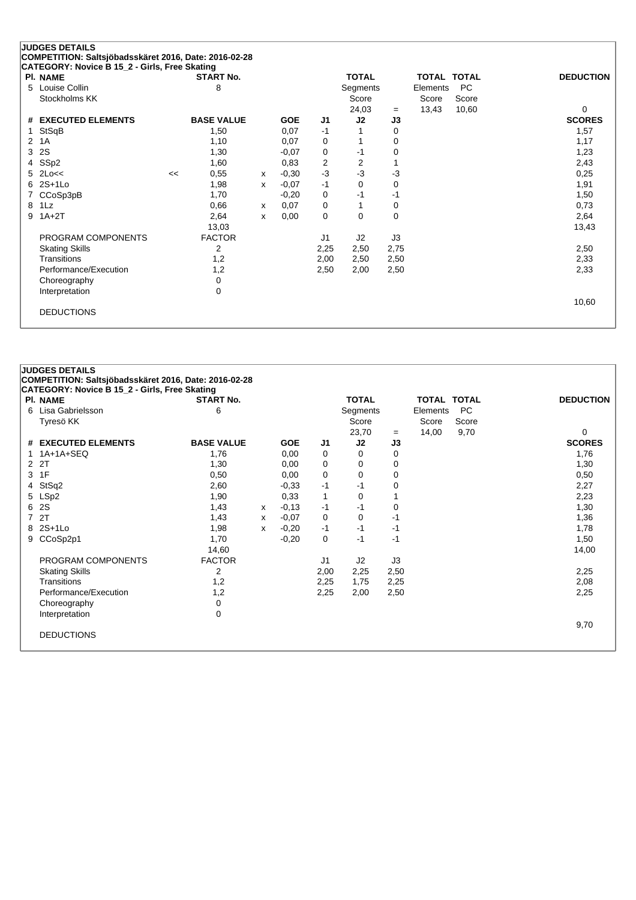| PI. NAME                      |    | <b>START No.</b>  |              |            |                | <b>TOTAL</b>   |                   | <b>TOTAL TOTAL</b> |           | <b>DEDUCTION</b> |
|-------------------------------|----|-------------------|--------------|------------|----------------|----------------|-------------------|--------------------|-----------|------------------|
| Louise Collin<br>5            |    | 8                 |              |            |                | Segments       |                   | Elements           | <b>PC</b> |                  |
| Stockholms KK                 |    |                   |              |            |                | Score          |                   | Score              | Score     |                  |
|                               |    |                   |              |            |                | 24,03          | $\qquad \qquad =$ | 13,43              | 10,60     | 0                |
| <b>EXECUTED ELEMENTS</b><br># |    | <b>BASE VALUE</b> |              | <b>GOE</b> | J <sub>1</sub> | J2             | J3                |                    |           | <b>SCORES</b>    |
| StSqB                         |    | 1,50              |              | 0,07       | $-1$           |                | 0                 |                    |           | 1,57             |
| 1A<br>2                       |    | 1,10              |              | 0,07       | 0              |                | 0                 |                    |           | 1,17             |
| 2S<br>3                       |    | 1,30              |              | $-0,07$    | 0              | -1             | 0                 |                    |           | 1,23             |
| SSp2<br>4                     |    | 1,60              |              | 0,83       | 2              | $\overline{2}$ |                   |                    |           | 2,43             |
| $2$ Lo<<<br>5                 | << | 0,55              | $\mathsf{x}$ | $-0,30$    | $-3$           | $-3$           | -3                |                    |           | 0,25             |
| $2S+1Lo$<br>6                 |    | 1,98              | X            | $-0,07$    | $-1$           | $\Omega$       | 0                 |                    |           | 1,91             |
| CCoSp3pB                      |    | 1,70              |              | $-0,20$    | 0              | -1             | $-1$              |                    |           | 1,50             |
| 1Lz<br>8                      |    | 0,66              | $\mathsf{x}$ | 0,07       | 0              |                | 0                 |                    |           | 0,73             |
| $1A+2T$<br>9                  |    | 2,64              | x            | 0,00       | 0              | 0              | 0                 |                    |           | 2,64             |
|                               |    | 13,03             |              |            |                |                |                   |                    |           | 13,43            |
| PROGRAM COMPONENTS            |    | <b>FACTOR</b>     |              |            | J <sub>1</sub> | J2             | J3                |                    |           |                  |
| <b>Skating Skills</b>         |    | 2                 |              |            | 2,25           | 2,50           | 2,75              |                    |           | 2,50             |
| Transitions                   |    | 1,2               |              |            | 2,00           | 2,50           | 2,50              |                    |           | 2,33             |
| Performance/Execution         |    | 1,2               |              |            | 2,50           | 2,00           | 2,50              |                    |           | 2,33             |
| Choreography                  |    | 0                 |              |            |                |                |                   |                    |           |                  |
| Interpretation                |    | 0                 |              |            |                |                |                   |                    |           |                  |
|                               |    |                   |              |            |                |                |                   |                    |           | 10,60            |

| <b>PI. NAME</b>       | <b>START No.</b>  |   |            |      | <b>TOTAL</b> |      | <b>TOTAL TOTAL</b> |           | <b>DEDUCTION</b> |
|-----------------------|-------------------|---|------------|------|--------------|------|--------------------|-----------|------------------|
| 6 Lisa Gabrielsson    | 6                 |   |            |      | Segments     |      | Elements           | <b>PC</b> |                  |
| Tyresö KK             |                   |   |            |      | Score        |      | Score              | Score     |                  |
|                       |                   |   |            |      | 23,70        | $=$  | 14,00              | 9,70      | 0                |
| # EXECUTED ELEMENTS   | <b>BASE VALUE</b> |   | <b>GOE</b> | J1   | J2           | J3   |                    |           | <b>SCORES</b>    |
| 1 1A+1A+SEQ           | 1,76              |   | 0,00       | 0    | 0            | 0    |                    |           | 1,76             |
| 2 2T                  | 1,30              |   | 0,00       | 0    | 0            | 0    |                    |           | 1,30             |
| 3 1F                  | 0,50              |   | 0,00       | 0    | 0            | 0    |                    |           | 0,50             |
| 4 StSq2               | 2,60              |   | $-0.33$    | -1   | -1           | 0    |                    |           | 2,27             |
| 5 LSp2                | 1,90              |   | 0,33       | 1    | 0            |      |                    |           | 2,23             |
| 6 2S                  | 1,43              | x | $-0,13$    | -1   | -1           | 0    |                    |           | 1,30             |
| 7 2T                  | 1,43              | x | $-0.07$    | 0    | 0            | -1   |                    |           | 1,36             |
| 8 2S+1Lo              | 1,98              | x | $-0,20$    | $-1$ | -1           | -1   |                    |           | 1,78             |
| 9 CCoSp2p1            | 1,70              |   | $-0,20$    | 0    | -1           | $-1$ |                    |           | 1,50             |
|                       | 14,60             |   |            |      |              |      |                    |           | 14,00            |
| PROGRAM COMPONENTS    | <b>FACTOR</b>     |   |            | J1   | J2           | J3   |                    |           |                  |
| <b>Skating Skills</b> | 2                 |   |            | 2,00 | 2,25         | 2,50 |                    |           | 2,25             |
| Transitions           | 1,2               |   |            | 2,25 | 1,75         | 2,25 |                    |           | 2,08             |
| Performance/Execution | 1,2               |   |            | 2,25 | 2,00         | 2,50 |                    |           | 2,25             |
| Choreography          | 0                 |   |            |      |              |      |                    |           |                  |
| Interpretation        | 0                 |   |            |      |              |      |                    |           |                  |
|                       |                   |   |            |      |              |      |                    |           | 9,70             |
| <b>DEDUCTIONS</b>     |                   |   |            |      |              |      |                    |           |                  |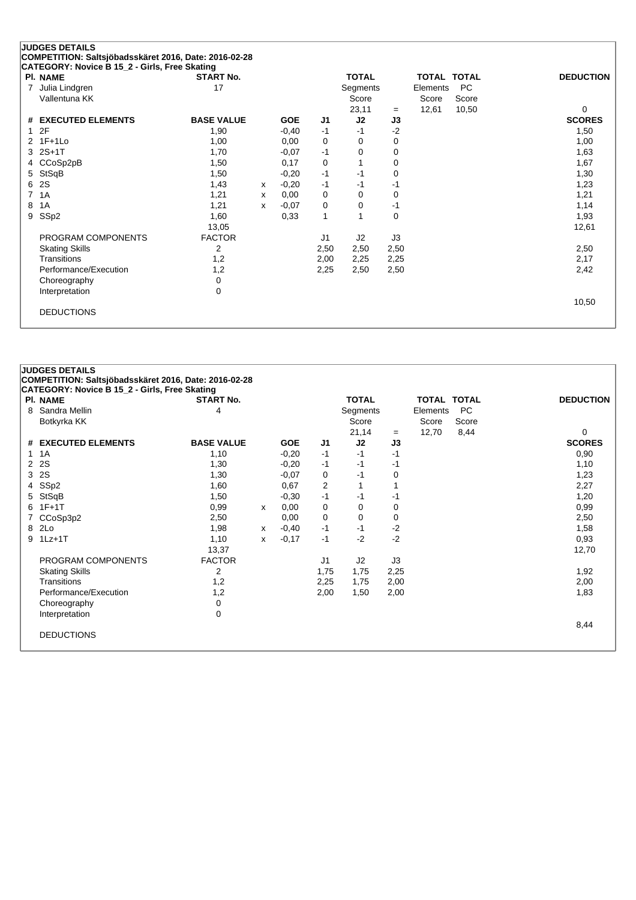| <b>PI. NAME</b>       | <b>START No.</b>  |              |            |                | <b>TOTAL</b> |      | <b>TOTAL TOTAL</b> |       | <b>DEDUCTION</b> |
|-----------------------|-------------------|--------------|------------|----------------|--------------|------|--------------------|-------|------------------|
| Julia Lindgren<br>7   | 17                |              |            |                | Segments     |      | Elements           | PC    |                  |
| Vallentuna KK         |                   |              |            |                | Score        |      | Score              | Score |                  |
|                       |                   |              |            |                | 23,11        | $=$  | 12,61              | 10,50 | 0                |
| # EXECUTED ELEMENTS   | <b>BASE VALUE</b> |              | <b>GOE</b> | J1             | J2           | J3   |                    |       | <b>SCORES</b>    |
| 2F<br>1               | 1,90              |              | $-0,40$    | $-1$           | $-1$         | $-2$ |                    |       | 1,50             |
| 2 1F+1Lo              | 1,00              |              | 0,00       | 0              | 0            | 0    |                    |       | 1,00             |
| $2S+1T$<br>3          | 1,70              |              | $-0.07$    | $-1$           | $\Omega$     | 0    |                    |       | 1,63             |
| CCoSp2pB              | 1,50              |              | 0,17       | 0              |              | 0    |                    |       | 1,67             |
| StSqB<br>5            | 1,50              |              | $-0,20$    | $-1$           | $-1$         | 0    |                    |       | 1,30             |
| 2S<br>6               | 1,43              | $\mathsf{x}$ | $-0,20$    | $-1$           | $-1$         | -1   |                    |       | 1,23             |
| 1A<br>7               | 1,21              | $\mathsf{x}$ | 0,00       | 0              | 0            | 0    |                    |       | 1,21             |
| 1A<br>8               | 1,21              | $\mathsf{x}$ | $-0.07$    | 0              | 0            | -1   |                    |       | 1,14             |
| SSp2<br>9             | 1,60              |              | 0,33       | $\mathbf{1}$   |              | 0    |                    |       | 1,93             |
|                       | 13,05             |              |            |                |              |      |                    |       | 12,61            |
| PROGRAM COMPONENTS    | <b>FACTOR</b>     |              |            | J <sub>1</sub> | J2           | J3   |                    |       |                  |
| <b>Skating Skills</b> | 2                 |              |            | 2,50           | 2,50         | 2,50 |                    |       | 2,50             |
| Transitions           | 1,2               |              |            | 2,00           | 2,25         | 2,25 |                    |       | 2,17             |
| Performance/Execution | 1,2               |              |            | 2,25           | 2,50         | 2,50 |                    |       | 2,42             |
| Choreography          | 0                 |              |            |                |              |      |                    |       |                  |
| Interpretation        | 0                 |              |            |                |              |      |                    |       |                  |
|                       |                   |              |            |                |              |      |                    |       | 10,50            |

|                | <b>JUDGES DETAILS</b><br>COMPETITION: Saltsjöbadsskäret 2016, Date: 2016-02-28 |                   |   |            |                |              |      |                    |           |                  |
|----------------|--------------------------------------------------------------------------------|-------------------|---|------------|----------------|--------------|------|--------------------|-----------|------------------|
|                | CATEGORY: Novice B 15_2 - Girls, Free Skating                                  |                   |   |            |                |              |      |                    |           |                  |
|                | <b>PI. NAME</b>                                                                | <b>START No.</b>  |   |            |                | <b>TOTAL</b> |      | <b>TOTAL TOTAL</b> |           | <b>DEDUCTION</b> |
| 8              | Sandra Mellin                                                                  | 4                 |   |            |                | Segments     |      | Elements           | <b>PC</b> |                  |
|                | Botkyrka KK                                                                    |                   |   |            |                | Score        |      | Score              | Score     |                  |
|                |                                                                                |                   |   |            |                | 21,14        | $=$  | 12,70              | 8,44      | 0                |
| #              | <b>EXECUTED ELEMENTS</b>                                                       | <b>BASE VALUE</b> |   | <b>GOE</b> | J1             | J2           | J3   |                    |           | <b>SCORES</b>    |
| 1              | 1A                                                                             | 1,10              |   | $-0,20$    | $-1$           | $-1$         | $-1$ |                    |           | 0,90             |
| $\overline{2}$ | 2S                                                                             | 1,30              |   | $-0,20$    | $-1$           | -1           | -1   |                    |           | 1,10             |
| 3              | 2S                                                                             | 1,30              |   | $-0,07$    | 0              | -1           | 0    |                    |           | 1,23             |
| 4              | SSp2                                                                           | 1,60              |   | 0,67       | $\overline{2}$ |              |      |                    |           | 2,27             |
| 5              | StSqB                                                                          | 1,50              |   | $-0,30$    | $-1$           | -1           | -1   |                    |           | 1,20             |
| 6              | $1F+1T$                                                                        | 0,99              | x | 0.00       | 0              | 0            | 0    |                    |           | 0,99             |
|                | CCoSp3p2                                                                       | 2,50              |   | 0,00       | 0              | $\Omega$     | 0    |                    |           | 2,50             |
| 8              | 2Lo                                                                            | 1,98              | x | $-0,40$    | $-1$           | $-1$         | $-2$ |                    |           | 1,58             |
| 9              | $1Lz+1T$                                                                       | 1,10              | x | $-0,17$    | $-1$           | $-2$         | $-2$ |                    |           | 0,93             |
|                |                                                                                | 13,37             |   |            |                |              |      |                    |           | 12,70            |
|                | PROGRAM COMPONENTS                                                             | <b>FACTOR</b>     |   |            | J <sub>1</sub> | J2           | J3   |                    |           |                  |
|                | <b>Skating Skills</b>                                                          | $\overline{2}$    |   |            | 1,75           | 1,75         | 2,25 |                    |           | 1,92             |
|                | Transitions                                                                    | 1,2               |   |            | 2,25           | 1,75         | 2,00 |                    |           | 2,00             |
|                | Performance/Execution                                                          | 1,2               |   |            | 2,00           | 1,50         | 2,00 |                    |           | 1,83             |
|                | Choreography                                                                   | 0                 |   |            |                |              |      |                    |           |                  |
|                | Interpretation                                                                 | 0                 |   |            |                |              |      |                    |           |                  |
|                |                                                                                |                   |   |            |                |              |      |                    |           | 8,44             |
|                | <b>DEDUCTIONS</b>                                                              |                   |   |            |                |              |      |                    |           |                  |
|                |                                                                                |                   |   |            |                |              |      |                    |           |                  |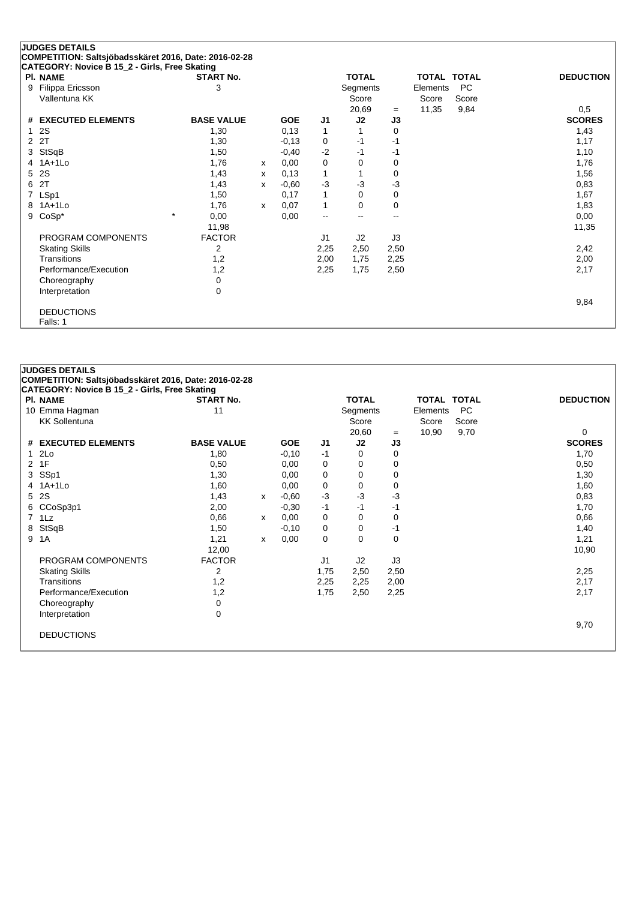|   | <b>JUDGES DETAILS</b>                                 |                   |   |            |                          |                          |                |                    |       |                  |
|---|-------------------------------------------------------|-------------------|---|------------|--------------------------|--------------------------|----------------|--------------------|-------|------------------|
|   | COMPETITION: Saltsjöbadsskäret 2016, Date: 2016-02-28 |                   |   |            |                          |                          |                |                    |       |                  |
|   | CATEGORY: Novice B 15_2 - Girls, Free Skating         |                   |   |            |                          |                          |                |                    |       |                  |
|   | PI. NAME                                              | <b>START No.</b>  |   |            |                          | <b>TOTAL</b>             |                | <b>TOTAL TOTAL</b> |       | <b>DEDUCTION</b> |
| 9 | Filippa Ericsson                                      | 3                 |   |            |                          | Segments                 |                | Elements           | PC    |                  |
|   | Vallentuna KK                                         |                   |   |            |                          | Score                    |                | Score              | Score |                  |
|   |                                                       |                   |   |            |                          | 20,69                    | $=$            | 11,35              | 9,84  | 0,5              |
|   | # EXECUTED ELEMENTS                                   | <b>BASE VALUE</b> |   | <b>GOE</b> | J1                       | J2                       | J3             |                    |       | <b>SCORES</b>    |
| 1 | 2S                                                    | 1,30              |   | 0,13       | $\mathbf 1$              | $\mathbf{1}$             | 0              |                    |       | 1,43             |
| 2 | 2T                                                    | 1,30              |   | $-0,13$    | 0                        | $-1$                     | $-1$           |                    |       | 1,17             |
| 3 | StSqB                                                 | 1,50              |   | $-0,40$    | $-2$                     | -1                       | -1             |                    |       | 1,10             |
|   | 4 1A+1Lo                                              | 1,76              | X | 0,00       | 0                        | 0                        | 0              |                    |       | 1,76             |
| 5 | 2S                                                    | 1,43              | X | 0,13       | 1                        | 1                        | 0              |                    |       | 1,56             |
| 6 | 2T                                                    | 1,43              | x | $-0.60$    | $-3$                     | $-3$                     | $-3$           |                    |       | 0,83             |
| 7 | LSp1                                                  | 1,50              |   | 0,17       | 1                        | 0                        | 0              |                    |       | 1,67             |
|   | 8 1A+1Lo                                              | 1,76              | x | 0,07       | $\mathbf{1}$             | 0                        | 0              |                    |       | 1,83             |
| 9 | $CoSp*$                                               | $\star$<br>0,00   |   | 0,00       | $\overline{\phantom{a}}$ | $\overline{\phantom{a}}$ | $\overline{a}$ |                    |       | 0,00             |
|   |                                                       | 11,98             |   |            |                          |                          |                |                    |       | 11,35            |
|   | PROGRAM COMPONENTS                                    | <b>FACTOR</b>     |   |            | J <sub>1</sub>           | J2                       | J3             |                    |       |                  |
|   | <b>Skating Skills</b>                                 | 2                 |   |            | 2,25                     | 2,50                     | 2,50           |                    |       | 2,42             |
|   | Transitions                                           | 1,2               |   |            | 2,00                     | 1,75                     | 2,25           |                    |       | 2,00             |
|   | Performance/Execution                                 | 1,2               |   |            | 2,25                     | 1,75                     | 2,50           |                    |       | 2,17             |
|   | Choreography                                          | 0                 |   |            |                          |                          |                |                    |       |                  |
|   | Interpretation                                        | $\Omega$          |   |            |                          |                          |                |                    |       |                  |
|   |                                                       |                   |   |            |                          |                          |                |                    |       | 9,84             |
|   | <b>DEDUCTIONS</b>                                     |                   |   |            |                          |                          |                |                    |       |                  |
|   | Falls: 1                                              |                   |   |            |                          |                          |                |                    |       |                  |

|                | <b>JUDGES DETAILS</b>                                                                                  |                   |   |            |                |              |      |                    |           |                  |
|----------------|--------------------------------------------------------------------------------------------------------|-------------------|---|------------|----------------|--------------|------|--------------------|-----------|------------------|
|                | COMPETITION: Saltsjöbadsskäret 2016, Date: 2016-02-28<br>CATEGORY: Novice B 15_2 - Girls, Free Skating |                   |   |            |                |              |      |                    |           |                  |
|                | <b>PI. NAME</b>                                                                                        | <b>START No.</b>  |   |            |                | <b>TOTAL</b> |      | <b>TOTAL TOTAL</b> |           | <b>DEDUCTION</b> |
|                | 10 Emma Hagman                                                                                         | 11                |   |            |                | Segments     |      | Elements           | <b>PC</b> |                  |
|                | <b>KK Sollentuna</b>                                                                                   |                   |   |            |                | Score        |      | Score              | Score     |                  |
|                |                                                                                                        |                   |   |            |                | 20,60        | $=$  | 10,90              | 9,70      | 0                |
|                | # EXECUTED ELEMENTS                                                                                    | <b>BASE VALUE</b> |   | <b>GOE</b> | J1             | J2           | J3   |                    |           | <b>SCORES</b>    |
| 1.             | 2Lo                                                                                                    | 1,80              |   | $-0,10$    | $-1$           | 0            | 0    |                    |           | 1,70             |
| 2              | 1F                                                                                                     | 0,50              |   | 0.00       | 0              | 0            | 0    |                    |           | 0,50             |
| 3              | SSp1                                                                                                   | 1,30              |   | 0,00       | 0              | 0            | 0    |                    |           | 1,30             |
|                | 4 1A+1Lo                                                                                               | 1,60              |   | 0,00       | $\mathbf 0$    | 0            | 0    |                    |           | 1,60             |
| 5              | 2S                                                                                                     | 1,43              | X | $-0.60$    | $-3$           | $-3$         | -3   |                    |           | 0,83             |
|                | 6 CCoSp3p1                                                                                             | 2,00              |   | $-0,30$    | $-1$           | $-1$         | $-1$ |                    |           | 1,70             |
| $\overline{7}$ | $1\mathsf{L}z$                                                                                         | 0,66              | x | 0,00       | 0              | 0            | 0    |                    |           | 0,66             |
| 8              | StSqB                                                                                                  | 1,50              |   | $-0,10$    | 0              | 0            | $-1$ |                    |           | 1,40             |
| 9              | 1A                                                                                                     | 1,21              | X | 0,00       | 0              | 0            | 0    |                    |           | 1,21             |
|                |                                                                                                        | 12,00             |   |            |                |              |      |                    |           | 10,90            |
|                | PROGRAM COMPONENTS                                                                                     | <b>FACTOR</b>     |   |            | J <sub>1</sub> | J2           | J3   |                    |           |                  |
|                | <b>Skating Skills</b>                                                                                  | 2                 |   |            | 1,75           | 2,50         | 2,50 |                    |           | 2,25             |
|                | Transitions                                                                                            | 1,2               |   |            | 2,25           | 2,25         | 2,00 |                    |           | 2,17             |
|                | Performance/Execution                                                                                  | 1,2               |   |            | 1,75           | 2,50         | 2,25 |                    |           | 2,17             |
|                | Choreography                                                                                           | 0                 |   |            |                |              |      |                    |           |                  |
|                | Interpretation                                                                                         | $\mathbf 0$       |   |            |                |              |      |                    |           |                  |
|                |                                                                                                        |                   |   |            |                |              |      |                    |           | 9,70             |
|                | <b>DEDUCTIONS</b>                                                                                      |                   |   |            |                |              |      |                    |           |                  |
|                |                                                                                                        |                   |   |            |                |              |      |                    |           |                  |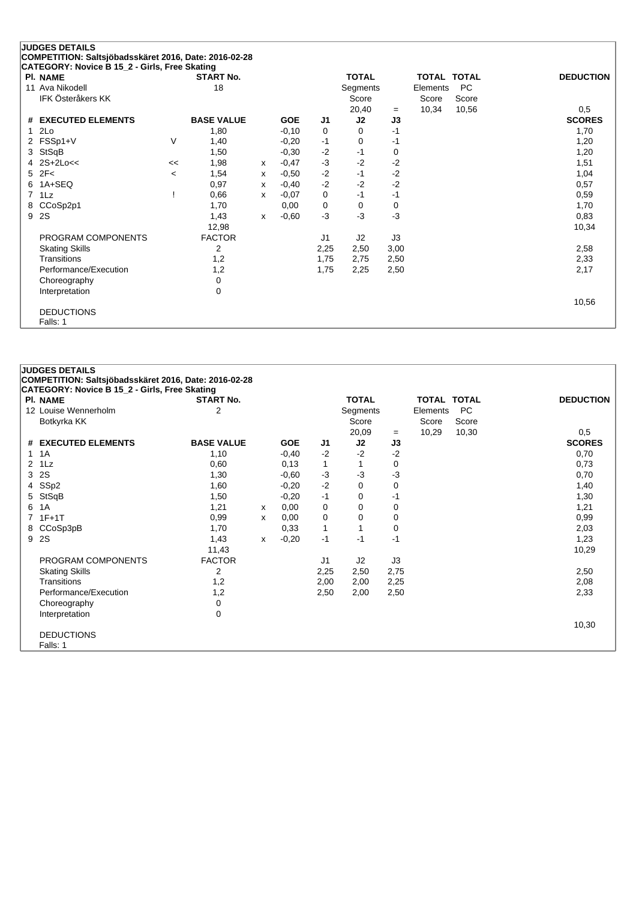|   | <b>JUDGES DETAILS</b><br>COMPETITION: Saltsjöbadsskäret 2016, Date: 2016-02-28 |         |                   |              |            |      |              |      |                    |           |                  |
|---|--------------------------------------------------------------------------------|---------|-------------------|--------------|------------|------|--------------|------|--------------------|-----------|------------------|
|   | CATEGORY: Novice B 15_2 - Girls, Free Skating                                  |         |                   |              |            |      |              |      |                    |           |                  |
|   | <b>PI. NAME</b>                                                                |         | <b>START No.</b>  |              |            |      | <b>TOTAL</b> |      | <b>TOTAL TOTAL</b> |           | <b>DEDUCTION</b> |
|   | 11 Ava Nikodell                                                                |         | 18                |              |            |      | Segments     |      | Elements           | <b>PC</b> |                  |
|   | IFK Österåkers KK                                                              |         |                   |              |            |      | Score        |      | Score              | Score     |                  |
|   |                                                                                |         |                   |              |            |      | 20,40        | $=$  | 10,34              | 10,56     | 0,5              |
|   | # EXECUTED ELEMENTS                                                            |         | <b>BASE VALUE</b> |              | <b>GOE</b> | J1   | J2           | J3   |                    |           | <b>SCORES</b>    |
|   | 2Lo                                                                            |         | 1,80              |              | $-0,10$    | 0    | 0            | $-1$ |                    |           | 1,70             |
|   | FSSp1+V                                                                        | V       | 1,40              |              | $-0,20$    | $-1$ | 0            | $-1$ |                    |           | 1,20             |
| 3 | StSqB                                                                          |         | 1,50              |              | $-0,30$    | $-2$ | $-1$         | 0    |                    |           | 1,20             |
|   | $2S+2Loc<$                                                                     | <<      | 1,98              | x            | $-0,47$    | $-3$ | $-2$         | $-2$ |                    |           | 1,51             |
| 5 | 2F<                                                                            | $\,<\,$ | 1,54              | x            | $-0.50$    | $-2$ | $-1$         | $-2$ |                    |           | 1,04             |
| 6 | 1A+SEQ                                                                         |         | 0,97              | X            | $-0,40$    | $-2$ | $-2$         | $-2$ |                    |           | 0,57             |
|   | 1Lz                                                                            |         | 0,66              | X            | $-0,07$    | 0    | $-1$         | $-1$ |                    |           | 0,59             |
| 8 | CCoSp2p1                                                                       |         | 1,70              |              | 0,00       | 0    | 0            | 0    |                    |           | 1,70             |
| 9 | 2S                                                                             |         | 1,43              | $\mathsf{x}$ | $-0,60$    | $-3$ | $-3$         | $-3$ |                    |           | 0,83             |
|   |                                                                                |         | 12,98             |              |            |      |              |      |                    |           | 10,34            |
|   | PROGRAM COMPONENTS                                                             |         | <b>FACTOR</b>     |              |            | J1   | J2           | J3   |                    |           |                  |
|   | <b>Skating Skills</b>                                                          |         | 2                 |              |            | 2,25 | 2,50         | 3,00 |                    |           | 2,58             |
|   | Transitions                                                                    |         | 1,2               |              |            | 1,75 | 2,75         | 2,50 |                    |           | 2,33             |
|   | Performance/Execution                                                          |         | 1,2               |              |            | 1,75 | 2,25         | 2,50 |                    |           | 2,17             |
|   | Choreography                                                                   |         | 0                 |              |            |      |              |      |                    |           |                  |
|   | Interpretation                                                                 |         | $\Omega$          |              |            |      |              |      |                    |           |                  |
|   |                                                                                |         |                   |              |            |      |              |      |                    |           | 10,56            |
|   | <b>DEDUCTIONS</b>                                                              |         |                   |              |            |      |              |      |                    |           |                  |
|   | Falls: 1                                                                       |         |                   |              |            |      |              |      |                    |           |                  |

|              | <b>JUDGES DETAILS</b>                                 |                   |   |                    |              |              |           |                    |           |                      |
|--------------|-------------------------------------------------------|-------------------|---|--------------------|--------------|--------------|-----------|--------------------|-----------|----------------------|
|              | COMPETITION: Saltsjöbadsskäret 2016, Date: 2016-02-28 |                   |   |                    |              |              |           |                    |           |                      |
|              | CATEGORY: Novice B 15_2 - Girls, Free Skating         |                   |   |                    |              |              |           | <b>TOTAL TOTAL</b> |           |                      |
|              | <b>PI. NAME</b><br>12 Louise Wennerholm               | <b>START No.</b>  |   |                    |              | <b>TOTAL</b> |           |                    |           | <b>DEDUCTION</b>     |
|              |                                                       | 2                 |   |                    |              | Segments     |           | Elements           | <b>PC</b> |                      |
|              | Botkyrka KK                                           |                   |   |                    |              | Score        |           | Score              | Score     |                      |
|              | # EXECUTED ELEMENTS                                   | <b>BASE VALUE</b> |   | <b>GOE</b>         | J1           | 20,09<br>J2  | $=$<br>J3 | 10,29              | 10,30     | 0,5<br><b>SCORES</b> |
|              | $1 \t1A$                                              | 1,10              |   | $-0,40$            | $-2$         | $-2$         | $-2$      |                    |           | 0,70                 |
| $\mathbf{2}$ | 1Lz                                                   | 0,60              |   | 0,13               | $\mathbf{1}$ | 1            | 0         |                    |           | 0,73                 |
| 3            | 2S                                                    | 1,30              |   | $-0,60$            | $-3$         | $-3$         | $-3$      |                    |           | 0,70                 |
|              |                                                       |                   |   |                    | $-2$         | 0            |           |                    |           |                      |
| 4<br>5       | SSp2                                                  | 1,60<br>1,50      |   | $-0,20$<br>$-0,20$ | $-1$         | 0            | 0<br>$-1$ |                    |           | 1,40                 |
|              | StSqB                                                 |                   |   |                    |              |              |           |                    |           | 1,30                 |
| 6            | 1A                                                    | 1,21              | х | 0,00               | 0            | $\Omega$     | 0         |                    |           | 1,21                 |
|              | $7.1F+1T$                                             | 0,99              | X | 0,00               | 0            | 0            | 0         |                    |           | 0,99                 |
| 8            | CCoSp3pB                                              | 1,70              |   | 0,33               | $\mathbf{1}$ | 1            | 0         |                    |           | 2,03                 |
|              | 9 2S                                                  | 1,43              | x | $-0,20$            | $-1$         | $-1$         | $-1$      |                    |           | 1,23                 |
|              |                                                       | 11,43             |   |                    |              |              |           |                    |           | 10,29                |
|              | PROGRAM COMPONENTS                                    | <b>FACTOR</b>     |   |                    | J1           | J2           | J3        |                    |           |                      |
|              | <b>Skating Skills</b>                                 | 2                 |   |                    | 2,25         | 2,50         | 2,75      |                    |           | 2,50                 |
|              | Transitions                                           | 1,2               |   |                    | 2,00         | 2,00         | 2,25      |                    |           | 2,08                 |
|              | Performance/Execution                                 | 1,2               |   |                    | 2,50         | 2,00         | 2,50      |                    |           | 2,33                 |
|              | Choreography                                          | 0                 |   |                    |              |              |           |                    |           |                      |
|              | Interpretation                                        | 0                 |   |                    |              |              |           |                    |           |                      |
|              |                                                       |                   |   |                    |              |              |           |                    |           | 10,30                |
|              | <b>DEDUCTIONS</b>                                     |                   |   |                    |              |              |           |                    |           |                      |
|              | Falls: 1                                              |                   |   |                    |              |              |           |                    |           |                      |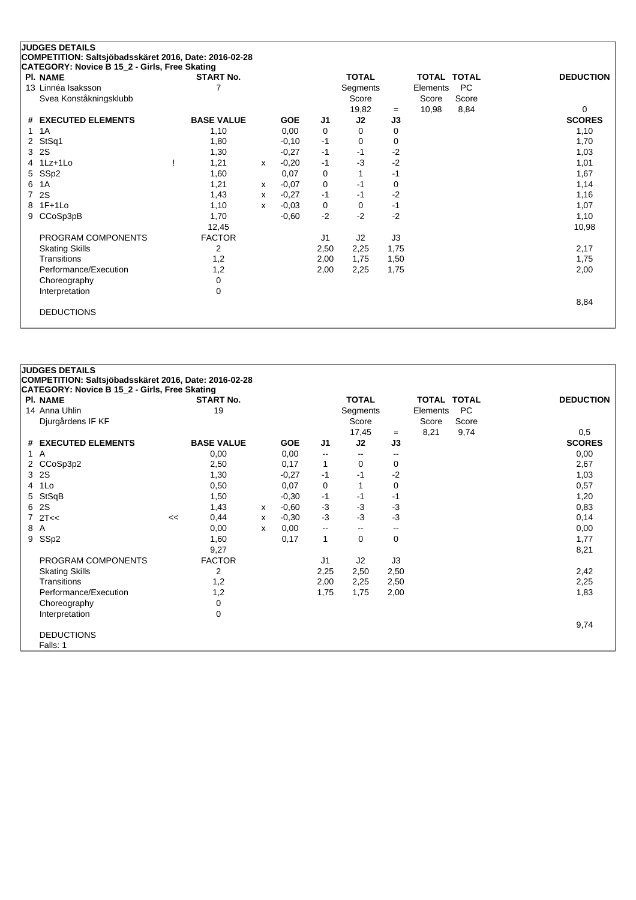| PI. NAME               | <b>START No.</b>  |   |            |      | <b>TOTAL</b> |      | TOTAL TOTAL |           | <b>DEDUCTION</b> |
|------------------------|-------------------|---|------------|------|--------------|------|-------------|-----------|------------------|
| 13 Linnéa Isaksson     | 7                 |   |            |      | Segments     |      | Elements    | <b>PC</b> |                  |
| Svea Konståkningsklubb |                   |   |            |      | Score        |      | Score       | Score     |                  |
|                        |                   |   |            |      | 19,82        | $=$  | 10,98       | 8,84      | 0                |
| # EXECUTED ELEMENTS    | <b>BASE VALUE</b> |   | <b>GOE</b> | J1   | J2           | J3   |             |           | <b>SCORES</b>    |
| 1A                     | 1,10              |   | 0,00       | 0    | $\Omega$     | 0    |             |           | 1,10             |
| StSq1<br>2             | 1,80              |   | $-0,10$    | $-1$ | 0            | 0    |             |           | 1,70             |
| 2S<br>3                | 1,30              |   | $-0,27$    | $-1$ | $-1$         | $-2$ |             |           | 1,03             |
| $1Lz+1Lo$<br>4         | 1,21              | x | $-0,20$    | $-1$ | $-3$         | $-2$ |             |           | 1,01             |
| SSp2<br>5              | 1,60              |   | 0,07       | 0    | 1            | $-1$ |             |           | 1,67             |
| 1A<br>6                | 1,21              | x | $-0.07$    | 0    | $-1$         | 0    |             |           | 1,14             |
| 2S<br>7                | 1,43              | х | $-0,27$    | $-1$ | $-1$         | $-2$ |             |           | 1,16             |
| $1F+1Lo$<br>8          | 1,10              | X | $-0,03$    | 0    | 0            | $-1$ |             |           | 1,07             |
| CCoSp3pB<br>9          | 1,70              |   | $-0,60$    | $-2$ | $-2$         | $-2$ |             |           | 1,10             |
|                        | 12,45             |   |            |      |              |      |             |           | 10,98            |
| PROGRAM COMPONENTS     | <b>FACTOR</b>     |   |            | J1   | J2           | J3   |             |           |                  |
| <b>Skating Skills</b>  | 2                 |   |            | 2,50 | 2,25         | 1,75 |             |           | 2,17             |
| Transitions            | 1,2               |   |            | 2,00 | 1,75         | 1,50 |             |           | 1,75             |
| Performance/Execution  | 1,2               |   |            | 2,00 | 2,25         | 1,75 |             |           | 2,00             |
| Choreography           | 0                 |   |            |      |              |      |             |           |                  |
| Interpretation         | 0                 |   |            |      |              |      |             |           |                  |
|                        |                   |   |            |      |              |      |             |           | 8,84             |

|     | <b>JUDGES DETAILS</b><br>COMPETITION: Saltsjöbadsskäret 2016, Date: 2016-02-28 |    |                   |   |            |                          |                          |                          |                    |           |                  |
|-----|--------------------------------------------------------------------------------|----|-------------------|---|------------|--------------------------|--------------------------|--------------------------|--------------------|-----------|------------------|
|     | CATEGORY: Novice B 15_2 - Girls, Free Skating                                  |    |                   |   |            |                          |                          |                          |                    |           |                  |
|     | <b>PI. NAME</b>                                                                |    | <b>START No.</b>  |   |            |                          | <b>TOTAL</b>             |                          | <b>TOTAL TOTAL</b> |           | <b>DEDUCTION</b> |
|     | 14 Anna Uhlin                                                                  |    | 19                |   |            |                          | Segments                 |                          | Elements           | <b>PC</b> |                  |
|     | Djurgårdens IF KF                                                              |    |                   |   |            |                          | Score                    |                          | Score              | Score     |                  |
|     |                                                                                |    |                   |   |            |                          | 17,45                    | $=$                      | 8,21               | 9,74      | 0,5              |
|     | # EXECUTED ELEMENTS                                                            |    | <b>BASE VALUE</b> |   | <b>GOE</b> | J1                       | J2                       | J3                       |                    |           | <b>SCORES</b>    |
|     | 1A                                                                             |    | 0,00              |   | 0,00       | $\mathbf{u}$             | $\overline{\phantom{a}}$ | $\overline{\phantom{a}}$ |                    |           | 0,00             |
|     | 2 CCoSp3p2                                                                     |    | 2,50              |   | 0,17       | $\mathbf{1}$             | 0                        | 0                        |                    |           | 2,67             |
|     | 3 2S                                                                           |    | 1,30              |   | $-0,27$    | $-1$                     | -1                       | $-2$                     |                    |           | 1,03             |
|     | 4 1Lo                                                                          |    | 0,50              |   | 0,07       | 0                        | 1                        | 0                        |                    |           | 0,57             |
| 5   | StSqB                                                                          |    | 1,50              |   | $-0,30$    | $-1$                     | -1                       | -1                       |                    |           | 1,20             |
|     | 6 2S                                                                           |    | 1,43              | x | $-0.60$    | $-3$                     | $-3$                     | -3                       |                    |           | 0,83             |
|     | 72T<<                                                                          | << | 0,44              | х | $-0,30$    | $-3$                     | $-3$                     | -3                       |                    |           | 0,14             |
| 8 A |                                                                                |    | 0,00              | x | 0,00       | $\overline{\phantom{a}}$ | $\sim$                   | $\overline{\phantom{a}}$ |                    |           | 0,00             |
|     | 9 SSp2                                                                         |    | 1,60              |   | 0,17       | 1                        | 0                        | 0                        |                    |           | 1,77             |
|     |                                                                                |    | 9,27              |   |            |                          |                          |                          |                    |           | 8,21             |
|     | PROGRAM COMPONENTS                                                             |    | <b>FACTOR</b>     |   |            | J1                       | J2                       | J3                       |                    |           |                  |
|     | <b>Skating Skills</b>                                                          |    | 2                 |   |            | 2,25                     | 2,50                     | 2,50                     |                    |           | 2,42             |
|     | Transitions                                                                    |    | 1,2               |   |            | 2,00                     | 2,25                     | 2,50                     |                    |           | 2,25             |
|     | Performance/Execution                                                          |    | 1,2               |   |            | 1,75                     | 1,75                     | 2,00                     |                    |           | 1,83             |
|     | Choreography                                                                   |    | 0                 |   |            |                          |                          |                          |                    |           |                  |
|     | Interpretation                                                                 |    | $\mathbf 0$       |   |            |                          |                          |                          |                    |           |                  |
|     |                                                                                |    |                   |   |            |                          |                          |                          |                    |           | 9,74             |
|     | <b>DEDUCTIONS</b>                                                              |    |                   |   |            |                          |                          |                          |                    |           |                  |
|     | Falls: 1                                                                       |    |                   |   |            |                          |                          |                          |                    |           |                  |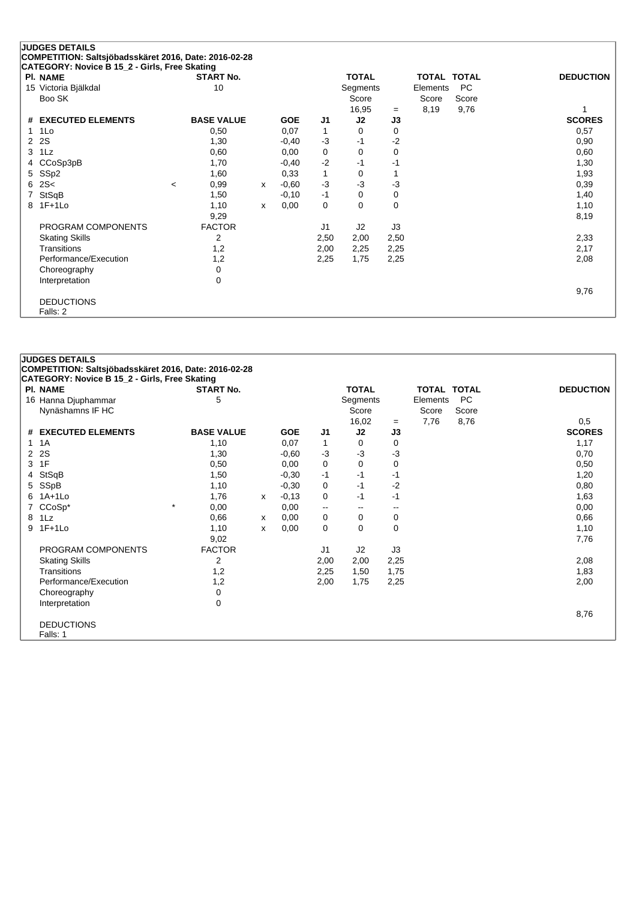|                | <b>JUDGES DETAILS</b>                                 |                          |                   |              |            |              |                |             |          |                    |                  |
|----------------|-------------------------------------------------------|--------------------------|-------------------|--------------|------------|--------------|----------------|-------------|----------|--------------------|------------------|
|                | COMPETITION: Saltsjöbadsskäret 2016, Date: 2016-02-28 |                          |                   |              |            |              |                |             |          |                    |                  |
|                | CATEGORY: Novice B 15_2 - Girls, Free Skating         |                          |                   |              |            |              |                |             |          |                    |                  |
|                | <b>PI. NAME</b>                                       |                          | <b>START No.</b>  |              |            |              | <b>TOTAL</b>   |             |          | <b>TOTAL TOTAL</b> | <b>DEDUCTION</b> |
|                | 15 Victoria Bjälkdal                                  |                          | 10                |              |            |              | Segments       |             | Elements | <b>PC</b>          |                  |
|                | Boo SK                                                |                          |                   |              |            |              | Score          |             | Score    | Score              |                  |
|                |                                                       |                          |                   |              |            |              | 16,95          | $=$         | 8,19     | 9,76               |                  |
|                | # EXECUTED ELEMENTS                                   |                          | <b>BASE VALUE</b> |              | <b>GOE</b> | J1           | J2             | J3          |          |                    | <b>SCORES</b>    |
| 1.             | 1Lo                                                   |                          | 0,50              |              | 0,07       | $\mathbf{1}$ | $\Omega$       | 0           |          |                    | 0,57             |
| $\overline{2}$ | 2S                                                    |                          | 1,30              |              | $-0,40$    | $-3$         | $-1$           | $-2$        |          |                    | 0,90             |
| 3              | 1Lz                                                   |                          | 0,60              |              | 0,00       | 0            | 0              | 0           |          |                    | 0,60             |
| 4              | CCoSp3pB                                              |                          | 1,70              |              | $-0,40$    | $-2$         | -1             | -1          |          |                    | 1,30             |
| 5              | SSp2                                                  |                          | 1,60              |              | 0,33       | $\mathbf{1}$ | 0              |             |          |                    | 1,93             |
| 6              | 2S<                                                   | $\overline{\phantom{a}}$ | 0,99              | x            | $-0.60$    | $-3$         | $-3$           | $-3$        |          |                    | 0,39             |
|                | StSqB                                                 |                          | 1,50              |              | $-0,10$    | $-1$         | 0              | 0           |          |                    | 1,40             |
| 8              | $1F+1Lo$                                              |                          | 1,10              | $\mathsf{x}$ | 0,00       | 0            | $\Omega$       | $\mathbf 0$ |          |                    | 1,10             |
|                |                                                       |                          | 9,29              |              |            |              |                |             |          |                    | 8,19             |
|                | PROGRAM COMPONENTS                                    |                          | <b>FACTOR</b>     |              |            | J1           | J <sub>2</sub> | J3          |          |                    |                  |
|                | <b>Skating Skills</b>                                 |                          | 2                 |              |            | 2,50         | 2,00           | 2,50        |          |                    | 2,33             |
|                | Transitions                                           |                          | 1,2               |              |            | 2,00         | 2,25           | 2,25        |          |                    | 2,17             |
|                | Performance/Execution                                 |                          | 1,2               |              |            | 2,25         | 1,75           | 2,25        |          |                    | 2,08             |
|                | Choreography                                          |                          | 0                 |              |            |              |                |             |          |                    |                  |
|                | Interpretation                                        |                          | 0                 |              |            |              |                |             |          |                    |                  |
|                |                                                       |                          |                   |              |            |              |                |             |          |                    | 9,76             |
|                | <b>DEDUCTIONS</b>                                     |                          |                   |              |            |              |                |             |          |                    |                  |
|                | Falls: 2                                              |                          |                   |              |            |              |                |             |          |                    |                  |

|                | <b>JUDGES DETAILS</b>                                 |                   |   |            |                          |              |             |             |           |                  |
|----------------|-------------------------------------------------------|-------------------|---|------------|--------------------------|--------------|-------------|-------------|-----------|------------------|
|                | COMPETITION: Saltsjöbadsskäret 2016, Date: 2016-02-28 |                   |   |            |                          |              |             |             |           |                  |
|                | CATEGORY: Novice B 15_2 - Girls, Free Skating         |                   |   |            |                          |              |             |             |           |                  |
|                | <b>PI. NAME</b>                                       | <b>START No.</b>  |   |            |                          | <b>TOTAL</b> |             | TOTAL TOTAL |           | <b>DEDUCTION</b> |
|                | 16 Hanna Djuphammar                                   | 5                 |   |            |                          | Segments     |             | Elements    | <b>PC</b> |                  |
|                | Nynäshamns IF HC                                      |                   |   |            |                          | Score        |             | Score       | Score     |                  |
|                |                                                       |                   |   |            |                          | 16,02        | $=$         | 7,76        | 8,76      | 0,5              |
| #              | <b>EXECUTED ELEMENTS</b>                              | <b>BASE VALUE</b> |   | <b>GOE</b> | J <sub>1</sub>           | J2           | J3          |             |           | <b>SCORES</b>    |
| 1.             | 1A                                                    | 1,10              |   | 0,07       | 1                        | 0            | 0           |             |           | 1,17             |
| $\overline{2}$ | 2S                                                    | 1,30              |   | $-0.60$    | $-3$                     | $-3$         | $-3$        |             |           | 0,70             |
| 3              | 1F                                                    | 0,50              |   | 0,00       | 0                        | $\Omega$     | $\mathbf 0$ |             |           | 0,50             |
| 4              | StSqB                                                 | 1,50              |   | $-0,30$    | $-1$                     | -1           | -1          |             |           | 1,20             |
| 5              | SSpB                                                  | 1,10              |   | $-0,30$    | 0                        | $-1$         | $-2$        |             |           | 0,80             |
| 6              | $1A+1L0$                                              | 1,76              | X | $-0,13$    | 0                        | -1           | -1          |             |           | 1,63             |
|                | $CCoSp*$                                              | $^\star$<br>0,00  |   | 0,00       | $\overline{\phantom{a}}$ | $- -$        | $- -$       |             |           | 0,00             |
| 8              | 1Lz                                                   | 0,66              | x | 0,00       | 0                        | 0            | 0           |             |           | 0,66             |
|                | 9 1F+1Lo                                              | 1,10              | X | 0,00       | $\mathbf 0$              | $\Omega$     | $\Omega$    |             |           | 1,10             |
|                |                                                       | 9,02              |   |            |                          |              |             |             |           | 7,76             |
|                | PROGRAM COMPONENTS                                    | <b>FACTOR</b>     |   |            | J1                       | J2           | J3          |             |           |                  |
|                | <b>Skating Skills</b>                                 | 2                 |   |            | 2,00                     | 2,00         | 2,25        |             |           | 2,08             |
|                | Transitions                                           | 1,2               |   |            | 2,25                     | 1,50         | 1,75        |             |           | 1,83             |
|                | Performance/Execution                                 | 1,2               |   |            | 2,00                     | 1,75         | 2,25        |             |           | 2,00             |
|                | Choreography                                          | 0                 |   |            |                          |              |             |             |           |                  |
|                | Interpretation                                        | 0                 |   |            |                          |              |             |             |           |                  |
|                |                                                       |                   |   |            |                          |              |             |             |           | 8,76             |
|                | <b>DEDUCTIONS</b>                                     |                   |   |            |                          |              |             |             |           |                  |
|                | Falls: 1                                              |                   |   |            |                          |              |             |             |           |                  |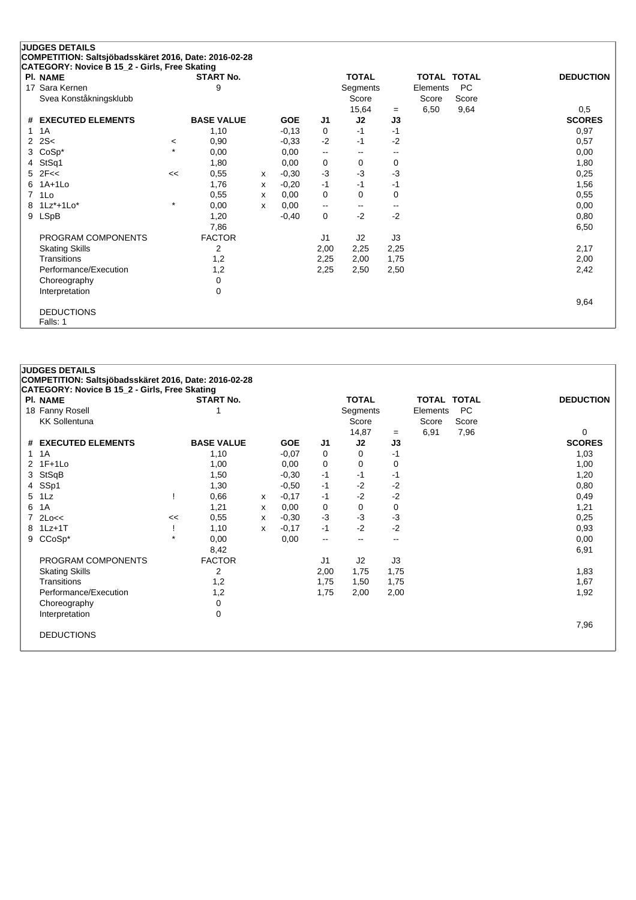|                | <b>JUDGES DETAILS</b><br>COMPETITION: Saltsjöbadsskäret 2016, Date: 2016-02-28 |         |                   |   |            |      |              |                          |                    |           |                  |
|----------------|--------------------------------------------------------------------------------|---------|-------------------|---|------------|------|--------------|--------------------------|--------------------|-----------|------------------|
|                | CATEGORY: Novice B 15_2 - Girls, Free Skating                                  |         |                   |   |            |      |              |                          |                    |           |                  |
|                | <b>PI. NAME</b>                                                                |         | <b>START No.</b>  |   |            |      | <b>TOTAL</b> |                          | <b>TOTAL TOTAL</b> |           | <b>DEDUCTION</b> |
|                | 17 Sara Kernen                                                                 |         | 9                 |   |            |      | Segments     |                          | Elements           | <b>PC</b> |                  |
|                | Svea Konståkningsklubb                                                         |         |                   |   |            |      | Score        |                          | Score              | Score     |                  |
|                |                                                                                |         |                   |   |            |      | 15,64        | $=$                      | 6,50               | 9,64      | 0,5              |
| #              | <b>EXECUTED ELEMENTS</b>                                                       |         | <b>BASE VALUE</b> |   | <b>GOE</b> | J1   | J2           | J3                       |                    |           | <b>SCORES</b>    |
| 1              | 1A                                                                             |         | 1,10              |   | $-0,13$    | 0    | $-1$         | $-1$                     |                    |           | 0,97             |
| $\overline{2}$ | 2S<                                                                            | $\prec$ | 0,90              |   | $-0.33$    | $-2$ | $-1$         | $-2$                     |                    |           | 0,57             |
| 3              | $CoSp*$                                                                        | $\star$ | 0,00              |   | 0,00       | ۰.   | --           | $\overline{\phantom{a}}$ |                    |           | 0,00             |
| 4              | StSq1                                                                          |         | 1,80              |   | 0,00       | 0    | 0            | 0                        |                    |           | 1,80             |
| 5              | 2F <                                                                           | <<      | 0,55              | X | $-0,30$    | $-3$ | -3           | $-3$                     |                    |           | 0,25             |
| 6              | $1A+1L0$                                                                       |         | 1,76              | X | $-0,20$    | $-1$ | $-1$         | -1                       |                    |           | 1,56             |
| 7              | 1Lo                                                                            |         | 0,55              | x | 0,00       | 0    | 0            | 0                        |                    |           | 0,55             |
|                | 8 1Lz*+1Lo*                                                                    | $\star$ | 0,00              | x | 0,00       | --   | --           | --                       |                    |           | 0,00             |
| 9              | <b>LSpB</b>                                                                    |         | 1,20              |   | $-0,40$    | 0    | $-2$         | $-2$                     |                    |           | 0,80             |
|                |                                                                                |         | 7,86              |   |            |      |              |                          |                    |           | 6,50             |
|                | PROGRAM COMPONENTS                                                             |         | <b>FACTOR</b>     |   |            | J1   | J2           | J3                       |                    |           |                  |
|                | <b>Skating Skills</b>                                                          |         | 2                 |   |            | 2,00 | 2,25         | 2,25                     |                    |           | 2,17             |
|                | Transitions                                                                    |         | 1,2               |   |            | 2,25 | 2,00         | 1,75                     |                    |           | 2,00             |
|                | Performance/Execution                                                          |         | 1,2               |   |            | 2,25 | 2,50         | 2,50                     |                    |           | 2,42             |
|                | Choreography                                                                   |         | 0                 |   |            |      |              |                          |                    |           |                  |
|                | Interpretation                                                                 |         | 0                 |   |            |      |              |                          |                    |           |                  |
|                |                                                                                |         |                   |   |            |      |              |                          |                    |           | 9,64             |
|                | <b>DEDUCTIONS</b>                                                              |         |                   |   |            |      |              |                          |                    |           |                  |
|                | Falls: 1                                                                       |         |                   |   |            |      |              |                          |                    |           |                  |

|   | <b>JUDGES DETAILS</b>                                 |         |                   |   |            |                |                          |      |                    |           |                  |
|---|-------------------------------------------------------|---------|-------------------|---|------------|----------------|--------------------------|------|--------------------|-----------|------------------|
|   | COMPETITION: Saltsjöbadsskäret 2016, Date: 2016-02-28 |         |                   |   |            |                |                          |      |                    |           |                  |
|   | CATEGORY: Novice B 15_2 - Girls, Free Skating         |         |                   |   |            |                |                          |      |                    |           |                  |
|   | <b>PI. NAME</b>                                       |         | <b>START No.</b>  |   |            |                | <b>TOTAL</b>             |      | <b>TOTAL TOTAL</b> |           | <b>DEDUCTION</b> |
|   | 18 Fanny Rosell                                       |         |                   |   |            |                | Segments                 |      | Elements           | <b>PC</b> |                  |
|   | <b>KK Sollentuna</b>                                  |         |                   |   |            |                | Score                    |      | Score              | Score     |                  |
|   |                                                       |         |                   |   |            |                | 14,87                    | $=$  | 6,91               | 7,96      | 0                |
|   | # EXECUTED ELEMENTS                                   |         | <b>BASE VALUE</b> |   | <b>GOE</b> | J1             | J2                       | J3   |                    |           | <b>SCORES</b>    |
|   | $1 \t1A$                                              |         | 1,10              |   | $-0.07$    | 0              | $\Omega$                 | $-1$ |                    |           | 1,03             |
|   | 2 1F+1Lo                                              |         | 1,00              |   | 0,00       | $\mathbf 0$    | 0                        | 0    |                    |           | 1,00             |
|   | 3 StSqB                                               |         | 1,50              |   | $-0,30$    | $-1$           | -1                       | -1   |                    |           | 1,20             |
|   | 4 SSp1                                                |         | 1,30              |   | $-0,50$    | $-1$           | $-2$                     | $-2$ |                    |           | 0,80             |
| 5 | 1Lz                                                   |         | 0,66              | x | $-0,17$    | -1             | $-2$                     | $-2$ |                    |           | 0,49             |
| 6 | 1A                                                    |         | 1,21              | x | 0,00       | 0              | $\mathbf 0$              | 0    |                    |           | 1,21             |
|   | $7$ 2Lo<<                                             | <<      | 0,55              | X | $-0.30$    | $-3$           | $-3$                     | $-3$ |                    |           | 0,25             |
|   | 8 1Lz+1T                                              |         | 1,10              | x | $-0,17$    | $-1$           | $-2$                     | $-2$ |                    |           | 0,93             |
| 9 | CCoSp*                                                | $\star$ | 0,00              |   | 0,00       | $\mathbf{u}$   | $\overline{\phantom{a}}$ | $-$  |                    |           | 0,00             |
|   |                                                       |         | 8,42              |   |            |                |                          |      |                    |           | 6,91             |
|   | PROGRAM COMPONENTS                                    |         | <b>FACTOR</b>     |   |            | J <sub>1</sub> | J2                       | J3   |                    |           |                  |
|   | <b>Skating Skills</b>                                 |         | 2                 |   |            | 2,00           | 1,75                     | 1,75 |                    |           | 1,83             |
|   | Transitions                                           |         | 1,2               |   |            | 1,75           | 1,50                     | 1,75 |                    |           | 1,67             |
|   | Performance/Execution                                 |         | 1,2               |   |            | 1,75           | 2,00                     | 2,00 |                    |           | 1,92             |
|   | Choreography                                          |         | 0                 |   |            |                |                          |      |                    |           |                  |
|   | Interpretation                                        |         | 0                 |   |            |                |                          |      |                    |           |                  |
|   |                                                       |         |                   |   |            |                |                          |      |                    |           | 7,96             |
|   | <b>DEDUCTIONS</b>                                     |         |                   |   |            |                |                          |      |                    |           |                  |
|   |                                                       |         |                   |   |            |                |                          |      |                    |           |                  |